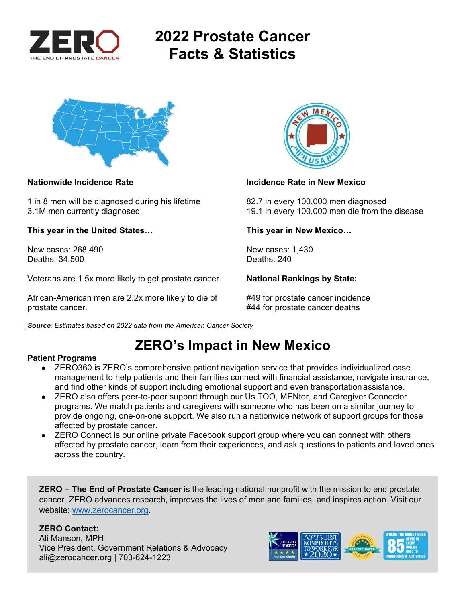

# **2022 Prostate Cancer Facts & Statistics**



1 in 8 men will be diagnosed during his lifetime 82.7 in every 100,000 men diagnosed

**This year in the United States… This year in New Mexico…** 

New cases: 268,490 New cases: 1,430 Deaths: 34,500 Deaths: 240

Veterans are 1.5x more likely to get prostate cancer. **National Rankings by State:** 

African-American men are 2.2x more likely to die of #49 for prostate cancer incidence prostate cancer. #44 for prostate cancer deaths



### **Nationwide Incidence Rate Incidence Rate in New Mexico**

3.1M men currently diagnosed 19.1 in every 100,000 men die from the disease

*Source: Estimates based on 2022 data from the American Cancer Society* 

# **ZERO's Impact in New Mexico**

### **Patient Programs**

- ZERO360 is ZERO's comprehensive patient navigation service that provides individualized case management to help patients and their families connect with financial assistance, navigate insurance, and find other kinds of support including emotional support and even transportation assistance.
- ZERO also offers peer-to-peer support through our Us TOO, MENtor, and Caregiver Connector programs. We match patients and caregivers with someone who has been on a similar journey to provide ongoing, one-on-one support. We also run a nationwide network of support groups for those affected by prostate cancer.
- ZERO Connect is our online private Facebook support group where you can connect with others affected by prostate cancer, learn from their experiences, and ask questions to patients and loved ones across the country.

**ZERO – The End of Prostate Cancer** is the leading national nonprofit with the mission to end prostate cancer. ZERO advances research, improves the lives of men and families, and inspires action. Visit our website: www.zerocancer.org.

### **ZERO Contact:**

Ali Manson, MPH Vice President, Government Relations & Advocacy ali@zerocancer.org | 703-624-1223